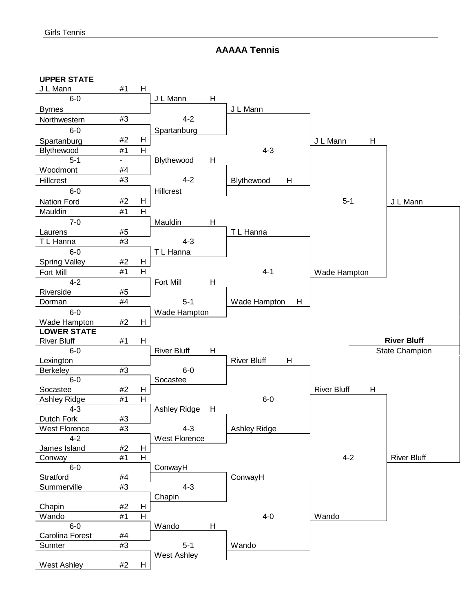**AAAAA Tennis** 

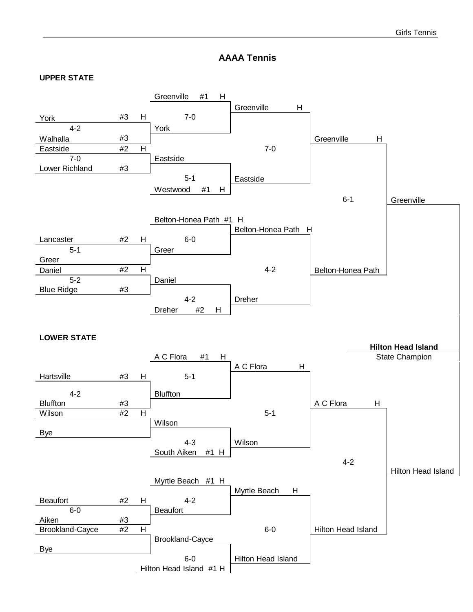#### **AAAA Tennis**

#### **UPPER STATE**

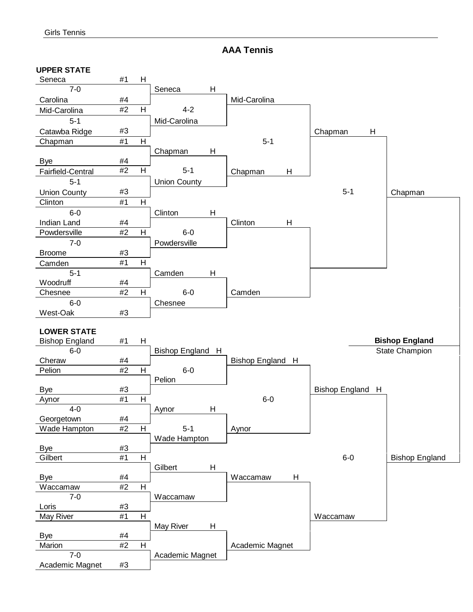**AAA Tennis**

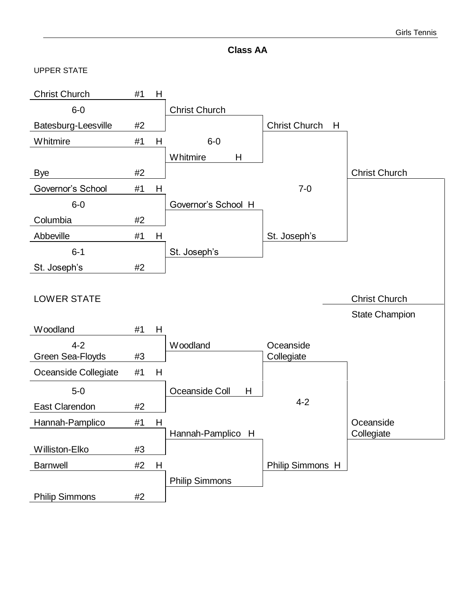

#### UPPER STATE

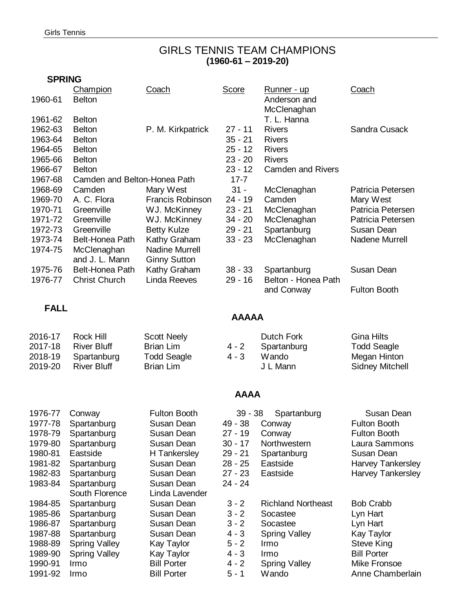## GIRLS TENNIS TEAM CHAMPIONS **(1960-61 – 2019-20)**

## **SPRING**

| 1960-61     | Champion<br><b>Belton</b>    | Coach                   | <b>Score</b> | <u> Runner - up</u><br>Anderson and<br>McClenaghan | <b>Coach</b>             |
|-------------|------------------------------|-------------------------|--------------|----------------------------------------------------|--------------------------|
| 1961-62     | <b>Belton</b>                |                         |              | T. L. Hanna                                        |                          |
| 1962-63     | <b>Belton</b>                | P. M. Kirkpatrick       | $27 - 11$    | <b>Rivers</b>                                      | Sandra Cusack            |
| 1963-64     | <b>Belton</b>                |                         | $35 - 21$    | <b>Rivers</b>                                      |                          |
| 1964-65     | <b>Belton</b>                |                         | $25 - 12$    | <b>Rivers</b>                                      |                          |
| 1965-66     | <b>Belton</b>                |                         | $23 - 20$    | <b>Rivers</b>                                      |                          |
| 1966-67     | <b>Belton</b>                |                         | $23 - 12$    | <b>Camden and Rivers</b>                           |                          |
| 1967-68     | Camden and Belton-Honea Path |                         | $17 - 7$     |                                                    |                          |
| 1968-69     | Camden                       | Mary West               | $31 -$       | McClenaghan                                        | Patricia Petersen        |
| 1969-70     | A. C. Flora                  | <b>Francis Robinson</b> | $24 - 19$    | Camden                                             | Mary West                |
| 1970-71     | Greenville                   | WJ. McKinney            | $23 - 21$    | McClenaghan                                        | Patricia Petersen        |
| 1971-72     | Greenville                   | WJ. McKinney            | $34 - 20$    | McClenaghan                                        | Patricia Petersen        |
| 1972-73     | Greenville                   | <b>Betty Kulze</b>      | $29 - 21$    | Spartanburg                                        | Susan Dean               |
| 1973-74     | Belt-Honea Path              | Kathy Graham            | $33 - 23$    | McClenaghan                                        | Nadene Murrell           |
| 1974-75     | McClenaghan                  | <b>Nadine Murrell</b>   |              |                                                    |                          |
|             | and J. L. Mann               | <b>Ginny Sutton</b>     |              |                                                    |                          |
| 1975-76     | <b>Belt-Honea Path</b>       | Kathy Graham            | $38 - 33$    | Spartanburg                                        | Susan Dean               |
| 1976-77     | <b>Christ Church</b>         | <b>Linda Reeves</b>     | $29 - 16$    | Belton - Honea Path                                |                          |
|             |                              |                         |              | and Conway                                         | <b>Fulton Booth</b>      |
|             |                              |                         |              |                                                    |                          |
| <b>FALL</b> |                              |                         | <b>AAAAA</b> |                                                    |                          |
| 2016-17     | Rock Hill                    | <b>Scott Neely</b>      |              | <b>Dutch Fork</b>                                  | <b>Gina Hilts</b>        |
| 2017-18     | <b>River Bluff</b>           | <b>Brian Lim</b>        | $4 - 2$      | Spartanburg                                        | <b>Todd Seagle</b>       |
| 2018-19     | Spartanburg                  | <b>Todd Seagle</b>      | $4 - 3$      | Wando                                              | Megan Hinton             |
| 2019-20     | <b>River Bluff</b>           | <b>Brian Lim</b>        |              | J L Mann                                           | <b>Sidney Mitchell</b>   |
|             |                              |                         |              |                                                    |                          |
|             |                              |                         | <b>AAAA</b>  |                                                    |                          |
|             |                              |                         |              |                                                    |                          |
| 1976-77     | Conway                       | <b>Fulton Booth</b>     | $39 - 38$    | Spartanburg                                        | Susan Dean               |
| 1977-78     | Spartanburg                  | Susan Dean              | 49 - 38      | Conway                                             | <b>Fulton Booth</b>      |
| 1978-79     | Spartanburg                  | Susan Dean              | 27 - 19      | Conway                                             | <b>Fulton Booth</b>      |
| 1979-80     | Spartanburg                  | Susan Dean              | $30 - 17$    | Northwestern                                       | Laura Sammons            |
| 1980-81     | Eastside                     | H Tankersley            | $29 - 21$    | Spartanburg                                        | Susan Dean               |
| 1981-82     | Spartanburg                  | Susan Dean              | $28 - 25$    | Eastside                                           | Harvey Tankersley        |
| 1982-83     | Spartanburg                  | Susan Dean              | $27 - 23$    | Eastside                                           | <b>Harvey Tankersley</b> |
| 1983-84     | Spartanburg                  | Susan Dean              | 24 - 24      |                                                    |                          |
|             | South Florence               | Linda Lavender          |              |                                                    |                          |
| 1984-85     | Spartanburg                  | Susan Dean              | $3 - 2$      | <b>Richland Northeast</b>                          | <b>Bob Crabb</b>         |
| 1985-86     | Spartanburg                  | Susan Dean              | $3 - 2$      | Socastee                                           | Lyn Hart                 |
| 1986-87     | Spartanburg                  | Susan Dean              | $3 - 2$      | Socastee                                           | Lyn Hart                 |
| 1987-88     | Spartanburg                  | Susan Dean              | $4 - 3$      | <b>Spring Valley</b>                               | Kay Taylor               |
| 1988-89     | <b>Spring Valley</b>         | Kay Taylor              | $5 - 2$      | Irmo                                               | Steve King               |
| 1989-90     | <b>Spring Valley</b>         | Kay Taylor              | $4 - 3$      | Irmo                                               | <b>Bill Porter</b>       |
| 1990-91     | Irmo                         | <b>Bill Porter</b>      | $4 - 2$      | <b>Spring Valley</b>                               | Mike Fronsoe             |
| 1991-92     | Irmo                         | <b>Bill Porter</b>      | $5 - 1$      | Wando                                              | Anne Chamberlain         |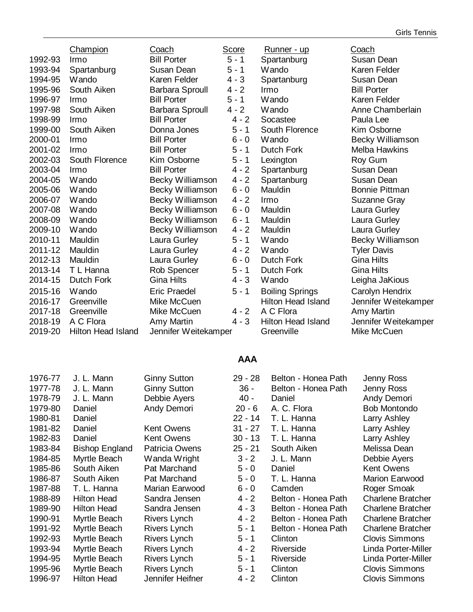|         | Champion           | Coach                  | Score   | Runner - up               | Coach                 |
|---------|--------------------|------------------------|---------|---------------------------|-----------------------|
| 1992-93 | Irmo               | <b>Bill Porter</b>     | $5 - 1$ | Spartanburg               | Susan Dean            |
| 1993-94 | Spartanburg        | Susan Dean             | $5 - 1$ | Wando                     | Karen Felder          |
| 1994-95 | Wando              | Karen Felder           | $4 - 3$ | Spartanburg               | Susan Dean            |
| 1995-96 | South Aiken        | <b>Barbara Sproull</b> | $4 - 2$ | Irmo                      | <b>Bill Porter</b>    |
| 1996-97 | Irmo               | <b>Bill Porter</b>     | $5 - 1$ | Wando                     | Karen Felder          |
| 1997-98 | South Aiken        | <b>Barbara Sproull</b> | $4 - 2$ | Wando                     | Anne Chamberlain      |
| 1998-99 | Irmo               | <b>Bill Porter</b>     | $4 - 2$ | Socastee                  | Paula Lee             |
| 1999-00 | South Aiken        | Donna Jones            | $5 - 1$ | South Florence            | Kim Osborne           |
| 2000-01 | Irmo               | <b>Bill Porter</b>     | $6 - 0$ | Wando                     | Becky Williamson      |
| 2001-02 | Irmo               | <b>Bill Porter</b>     | $5 - 1$ | Dutch Fork                | <b>Melba Hawkins</b>  |
| 2002-03 | South Florence     | Kim Osborne            | $5 - 1$ | Lexington                 | Roy Gum               |
| 2003-04 | Irmo               | <b>Bill Porter</b>     | $4 - 2$ | Spartanburg               | Susan Dean            |
| 2004-05 | Wando              | Becky Williamson       | $4 - 2$ | Spartanburg               | Susan Dean            |
| 2005-06 | Wando              | Becky Williamson       | $6 - 0$ | Mauldin                   | <b>Bonnie Pittman</b> |
| 2006-07 | Wando              | Becky Williamson       | $4 - 2$ | Irmo                      | Suzanne Gray          |
| 2007-08 | Wando              | Becky Williamson       | $6 - 0$ | Mauldin                   | Laura Gurley          |
| 2008-09 | Wando              | Becky Williamson       | $6 - 1$ | Mauldin                   | Laura Gurley          |
| 2009-10 | Wando              | Becky Williamson       | $4 - 2$ | Mauldin                   | Laura Gurley          |
| 2010-11 | Mauldin            | Laura Gurley           | $5 - 1$ | Wando                     | Becky Williamson      |
| 2011-12 | Mauldin            | Laura Gurley           | $4 - 2$ | Wando                     | <b>Tyler Davis</b>    |
| 2012-13 | Mauldin            | Laura Gurley           | $6 - 0$ | <b>Dutch Fork</b>         | <b>Gina Hilts</b>     |
| 2013-14 | T L Hanna          | Rob Spencer            | $5 - 1$ | <b>Dutch Fork</b>         | <b>Gina Hilts</b>     |
| 2014-15 | <b>Dutch Fork</b>  | <b>Gina Hilts</b>      | $4 - 3$ | Wando                     | Leigha JaKious        |
| 2015-16 | Wando              | <b>Eric Praedel</b>    | $5 - 1$ | <b>Boiling Springs</b>    | Carolyn Hendrix       |
| 2016-17 | Greenville         | Mike McCuen            |         | <b>Hilton Head Island</b> | Jennifer Weitekamper  |
| 2017-18 | Greenville         | Mike McCuen            | $4 - 2$ | A C Flora                 | Amy Martin            |
| 2018-19 | A C Flora          | Amy Martin             | $4 - 3$ | <b>Hilton Head Island</b> | Jennifer Weitekamper  |
| 2019-20 | Hilton Head Island | Jennifer Weitekamper   |         | Greenville                | Mike McCuen           |
|         |                    |                        |         |                           |                       |

## **AAA**

| 1976-77 | J. L. Mann            | <b>Ginny Sutton</b>   | $29 - 28$ | Belton - Honea Path | Jenny Ross               |
|---------|-----------------------|-----------------------|-----------|---------------------|--------------------------|
| 1977-78 | J. L. Mann            | <b>Ginny Sutton</b>   | $36 -$    | Belton - Honea Path | Jenny Ross               |
| 1978-79 | J. L. Mann            | Debbie Ayers          | $40 -$    | Daniel              | Andy Demori              |
| 1979-80 | Daniel                | Andy Demori           | $20 - 6$  | A. C. Flora         | <b>Bob Montondo</b>      |
| 1980-81 | Daniel                |                       | $22 - 14$ | T. L. Hanna         | Larry Ashley             |
| 1981-82 | Daniel                | <b>Kent Owens</b>     | $31 - 27$ | T. L. Hanna         | Larry Ashley             |
| 1982-83 | Daniel                | <b>Kent Owens</b>     | $30 - 13$ | T. L. Hanna         | Larry Ashley             |
| 1983-84 | <b>Bishop England</b> | <b>Patricia Owens</b> | $25 - 21$ | South Aiken         | Melissa Dean             |
| 1984-85 | Myrtle Beach          | Wanda Wright          | $3 - 2$   | J. L. Mann          | Debbie Ayers             |
| 1985-86 | South Aiken           | Pat Marchand          | $5 - 0$   | Daniel              | Kent Owens               |
| 1986-87 | South Aiken           | Pat Marchand          | $5 - 0$   | T. L. Hanna         | <b>Marion Earwood</b>    |
| 1987-88 | T. L. Hanna           | Marian Earwood        | $6 - 0$   | Camden              | Roger Smoak              |
| 1988-89 | <b>Hilton Head</b>    | Sandra Jensen         | $4 - 2$   | Belton - Honea Path | <b>Charlene Bratcher</b> |
| 1989-90 | <b>Hilton Head</b>    | Sandra Jensen         | $4 - 3$   | Belton - Honea Path | <b>Charlene Bratcher</b> |
| 1990-91 | Myrtle Beach          | Rivers Lynch          | $4 - 2$   | Belton - Honea Path | <b>Charlene Bratcher</b> |
| 1991-92 | Myrtle Beach          | Rivers Lynch          | $5 - 1$   | Belton - Honea Path | <b>Charlene Bratcher</b> |
| 1992-93 | Myrtle Beach          | Rivers Lynch          | $5 - 1$   | Clinton             | <b>Clovis Simmons</b>    |
| 1993-94 | Myrtle Beach          | Rivers Lynch          | $4 - 2$   | Riverside           | Linda Porter-Miller      |
| 1994-95 | Myrtle Beach          | Rivers Lynch          | $5 - 1$   | Riverside           | Linda Porter-Miller      |
| 1995-96 | Myrtle Beach          | Rivers Lynch          | $5 - 1$   | Clinton             | <b>Clovis Simmons</b>    |
| 1996-97 | <b>Hilton Head</b>    | Jennifer Heifner      | $4 - 2$   | Clinton             | <b>Clovis Simmons</b>    |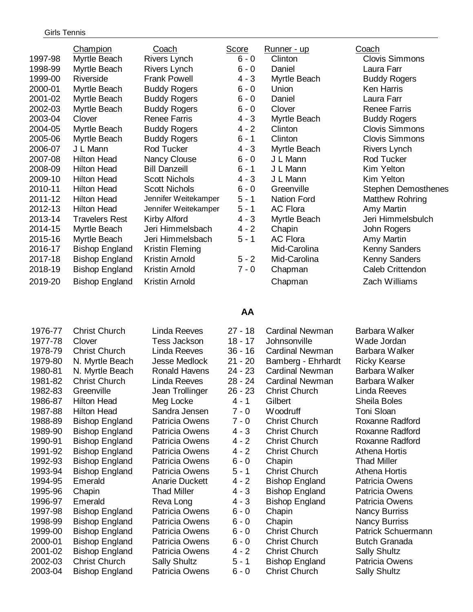| 1997-98<br>1998-99<br>1999-00<br>2000-01<br>2001-02 | <b>Champion</b><br>Myrtle Beach<br>Myrtle Beach<br>Riverside<br>Myrtle Beach<br>Myrtle Beach | Coach<br>Rivers Lynch<br>Rivers Lynch<br><b>Frank Powell</b><br><b>Buddy Rogers</b><br><b>Buddy Rogers</b> | <b>Score</b><br>$6 - 0$<br>$6 - 0$<br>$4 - 3$<br>$6 - 0$<br>$6 - 0$ | <u>Runner - up</u><br>Clinton<br>Daniel<br>Myrtle Beach<br>Union<br>Daniel | Coach<br><b>Clovis Simmons</b><br>Laura Farr<br><b>Buddy Rogers</b><br><b>Ken Harris</b><br>Laura Farr |
|-----------------------------------------------------|----------------------------------------------------------------------------------------------|------------------------------------------------------------------------------------------------------------|---------------------------------------------------------------------|----------------------------------------------------------------------------|--------------------------------------------------------------------------------------------------------|
| 2003-04                                             | Clover                                                                                       | <b>Renee Farris</b>                                                                                        | $4 - 3$                                                             | Myrtle Beach                                                               | <b>Buddy Rogers</b>                                                                                    |
| 2004-05                                             | Myrtle Beach                                                                                 | <b>Buddy Rogers</b>                                                                                        | $4 - 2$                                                             | Clinton                                                                    | <b>Clovis Simmons</b>                                                                                  |
| 2005-06                                             | Myrtle Beach                                                                                 | <b>Buddy Rogers</b>                                                                                        | $6 - 1$                                                             | Clinton                                                                    | <b>Clovis Simmons</b>                                                                                  |
| 2006-07                                             | J L Mann                                                                                     | <b>Rod Tucker</b>                                                                                          | $4 - 3$                                                             | Myrtle Beach                                                               | <b>Rivers Lynch</b>                                                                                    |
| 2007-08                                             | <b>Hilton Head</b>                                                                           | Nancy Clouse                                                                                               | $6 - 0$                                                             | J L Mann                                                                   | Rod Tucker                                                                                             |
| 2008-09                                             | <b>Hilton Head</b>                                                                           | <b>Bill Danzeill</b>                                                                                       | $6 - 1$                                                             | J L Mann                                                                   | Kim Yelton                                                                                             |
| 2009-10                                             | <b>Hilton Head</b>                                                                           | <b>Scott Nichols</b>                                                                                       | $4 - 3$                                                             | J L Mann                                                                   | Kim Yelton                                                                                             |
| 2010-11                                             | <b>Hilton Head</b>                                                                           | <b>Scott Nichols</b>                                                                                       | $6 - 0$                                                             | Greenville                                                                 | <b>Stephen Demosthenes</b>                                                                             |
| 2011-12                                             | <b>Hilton Head</b>                                                                           | Jennifer Weitekamper                                                                                       | $5 - 1$                                                             | <b>Nation Ford</b>                                                         | Matthew Rohring                                                                                        |
| 2012-13                                             | <b>Hilton Head</b>                                                                           | Jennifer Weitekamper                                                                                       | $5 - 1$                                                             | <b>AC Flora</b>                                                            | Amy Martin                                                                                             |
| 2013-14                                             | <b>Travelers Rest</b>                                                                        | Kirby Alford                                                                                               | $4 - 3$                                                             | Myrtle Beach                                                               | Jeri Himmelsbulch                                                                                      |
| 2014-15                                             | Myrtle Beach                                                                                 | Jeri Himmelsbach                                                                                           | $4 - 2$                                                             | Chapin                                                                     | John Rogers                                                                                            |
| 2015-16                                             | Myrtle Beach                                                                                 | Jeri Himmelsbach                                                                                           | $5 - 1$                                                             | <b>AC Flora</b>                                                            | Amy Martin                                                                                             |
| 2016-17                                             | <b>Bishop England</b>                                                                        | Kristin Fleming                                                                                            |                                                                     | Mid-Carolina                                                               | Kenny Sanders                                                                                          |
| 2017-18                                             | <b>Bishop England</b>                                                                        | Kristin Arnold                                                                                             | $5 - 2$                                                             | Mid-Carolina                                                               | Kenny Sanders                                                                                          |
| 2018-19                                             | <b>Bishop England</b>                                                                        | Kristin Arnold                                                                                             | $7 - 0$                                                             | Chapman                                                                    | Caleb Crittendon                                                                                       |
| 2019-20                                             | <b>Bishop England</b>                                                                        | Kristin Arnold                                                                                             |                                                                     | Chapman                                                                    | Zach Williams                                                                                          |

### **AA**

1976-77 Christ Church Linda Reeves 27 - 18 Cardinal Newman Barbara Walker 1977-78 Clover Tess Jackson 18 - 17 Johnsonville Wade Jordan 1978-79 Christ Church Linda Reeves 36 - 16 Cardinal Newman Barbara Walker 1979-80 N. Myrtle Beach Jesse Medlock 21 - 20 Bamberg - Ehrhardt Ricky Kearse 1980-81 N. Myrtle Beach Ronald Havens 24 - 23 Cardinal Newman Barbara Walker 1981-82 Christ Church Linda Reeves 28 - 24 Cardinal Newman Barbara Walker 1982-83 Greenville Jean Trollinger 26 - 23 Christ Church Linda Reeves 1986-87 Hilton Head Meg Locke 4 - 1 Gilbert Sheila Boles 1987-88 Hilton Head Sandra Jensen 7 - 0 Woodruff Toni Sloan 1988-89 Bishop England Patricia Owens 7 - 0 Christ Church Roxanne Radford 1989-90 Bishop England Patricia Owens 4 - 3 Christ Church Roxanne Radford 1990-91 Bishop England Patricia Owens 4 - 2 Christ Church Roxanne Radford 1991-92 Bishop England Patricia Owens 4 - 2 Christ Church Athena Hortis 1992-93 Bishop England Patricia Owens 6 - 0 Chapin Thad Miller 1993-94 Bishop England Patricia Owens 5 - 1 Christ Church Athena Hortis 1994-95 Emerald **Anarie Duckett** 4 - 2 Bishop England Patricia Owens 1995-96 Chapin Thad Miller 4 - 3 Bishop England Patricia Owens 1996-97 Emerald Reva Long 4 - 3 Bishop England Patricia Owens 1997-98 Bishop England Patricia Owens 6 - 0 Chapin Nancy Burriss 1998-99 Bishop England Patricia Owens 6 - 0 Chapin Nancy Burriss 1999-00 Bishop England Patricia Owens 6 - 0 Christ Church Patrick Schuermann 2000-01 Bishop England Patricia Owens 6 - 0 Christ Church Butch Granada 2001-02 Bishop England Patricia Owens 4 - 2 Christ Church Sally Shultz 2002-03 Christ Church Sally Shultz 5 - 1 Bishop England Patricia Owens 2003-04 Bishop England Patricia Owens 6 - 0 Christ Church Sally Shultz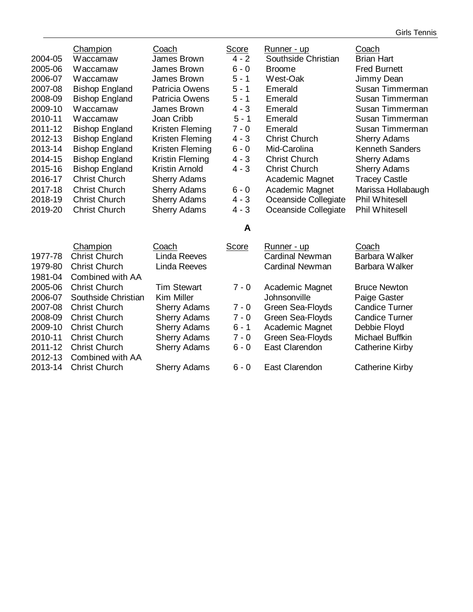| 2004-05<br>2005-06<br>2006-07<br>2007-08<br>2008-09<br>2009-10<br>2010-11<br>2011-12<br>2012-13<br>2013-14<br>2014-15<br>2015-16<br>2016-17<br>2017-18 | Champion<br>Waccamaw<br>Waccamaw<br>Waccamaw<br><b>Bishop England</b><br><b>Bishop England</b><br>Waccamaw<br>Waccamaw<br><b>Bishop England</b><br><b>Bishop England</b><br><b>Bishop England</b><br><b>Bishop England</b><br><b>Bishop England</b><br><b>Christ Church</b><br><b>Christ Church</b> | Coach<br>James Brown<br>James Brown<br>James Brown<br><b>Patricia Owens</b><br><b>Patricia Owens</b><br>James Brown<br>Joan Cribb<br>Kristen Fleming<br>Kristen Fleming<br>Kristen Fleming<br>Kristin Fleming<br>Kristin Arnold<br><b>Sherry Adams</b><br><b>Sherry Adams</b> | <b>Score</b><br>$4 - 2$<br>$6 - 0$<br>$5 - 1$<br>$5 - 1$<br>$5 - 1$<br>$4 - 3$<br>$5 - 1$<br>$7 - 0$<br>$4 - 3$<br>$6 - 0$<br>$4 - 3$<br>$4 - 3$<br>$6 - 0$ | <u>Runner - up</u><br>Southside Christian<br><b>Broome</b><br>West-Oak<br>Emerald<br>Emerald<br>Emerald<br>Emerald<br>Emerald<br><b>Christ Church</b><br>Mid-Carolina<br><b>Christ Church</b><br><b>Christ Church</b><br>Academic Magnet<br>Academic Magnet | Coach<br><b>Brian Hart</b><br><b>Fred Burnett</b><br>Jimmy Dean<br>Susan Timmerman<br>Susan Timmerman<br>Susan Timmerman<br>Susan Timmerman<br>Susan Timmerman<br><b>Sherry Adams</b><br><b>Kenneth Sanders</b><br><b>Sherry Adams</b><br><b>Sherry Adams</b><br><b>Tracey Castle</b><br>Marissa Hollabaugh |
|--------------------------------------------------------------------------------------------------------------------------------------------------------|-----------------------------------------------------------------------------------------------------------------------------------------------------------------------------------------------------------------------------------------------------------------------------------------------------|-------------------------------------------------------------------------------------------------------------------------------------------------------------------------------------------------------------------------------------------------------------------------------|-------------------------------------------------------------------------------------------------------------------------------------------------------------|-------------------------------------------------------------------------------------------------------------------------------------------------------------------------------------------------------------------------------------------------------------|-------------------------------------------------------------------------------------------------------------------------------------------------------------------------------------------------------------------------------------------------------------------------------------------------------------|
| 2018-19<br>2019-20                                                                                                                                     | <b>Christ Church</b><br><b>Christ Church</b>                                                                                                                                                                                                                                                        | <b>Sherry Adams</b><br><b>Sherry Adams</b>                                                                                                                                                                                                                                    | $4 - 3$<br>$4 - 3$                                                                                                                                          | Oceanside Collegiate<br>Oceanside Collegiate                                                                                                                                                                                                                | <b>Phil Whitesell</b><br><b>Phil Whitesell</b>                                                                                                                                                                                                                                                              |
|                                                                                                                                                        |                                                                                                                                                                                                                                                                                                     |                                                                                                                                                                                                                                                                               | A                                                                                                                                                           |                                                                                                                                                                                                                                                             |                                                                                                                                                                                                                                                                                                             |
| 1977-78<br>1979-80<br>1981-04                                                                                                                          | Champion<br><b>Christ Church</b><br><b>Christ Church</b><br>Combined with AA                                                                                                                                                                                                                        | Coach<br><b>Linda Reeves</b><br><b>Linda Reeves</b>                                                                                                                                                                                                                           | <b>Score</b>                                                                                                                                                | Runner - up<br><b>Cardinal Newman</b><br><b>Cardinal Newman</b>                                                                                                                                                                                             | Coach<br><b>Barbara Walker</b><br>Barbara Walker                                                                                                                                                                                                                                                            |
| 2005-06<br>2006-07<br>2007-08<br>2008-09<br>2009-10<br>2010-11<br>2011-12                                                                              | <b>Christ Church</b><br>Southside Christian<br><b>Christ Church</b><br><b>Christ Church</b><br><b>Christ Church</b><br><b>Christ Church</b><br><b>Christ Church</b>                                                                                                                                 | <b>Tim Stewart</b><br><b>Kim Miller</b><br><b>Sherry Adams</b><br><b>Sherry Adams</b><br><b>Sherry Adams</b><br><b>Sherry Adams</b><br><b>Sherry Adams</b>                                                                                                                    | $7 - 0$<br>$7 - 0$<br>$7 - 0$<br>$6 - 1$<br>$7 - 0$<br>$6 - 0$                                                                                              | Academic Magnet<br>Johnsonville<br>Green Sea-Floyds<br>Green Sea-Floyds<br>Academic Magnet<br>Green Sea-Floyds<br>East Clarendon                                                                                                                            | <b>Bruce Newton</b><br>Paige Gaster<br><b>Candice Turner</b><br><b>Candice Turner</b><br>Debbie Floyd<br>Michael Buffkin<br><b>Catherine Kirby</b>                                                                                                                                                          |
| 2012-13<br>2013-14                                                                                                                                     | Combined with AA<br><b>Christ Church</b>                                                                                                                                                                                                                                                            | <b>Sherry Adams</b>                                                                                                                                                                                                                                                           | $6 - 0$                                                                                                                                                     | East Clarendon                                                                                                                                                                                                                                              | <b>Catherine Kirby</b>                                                                                                                                                                                                                                                                                      |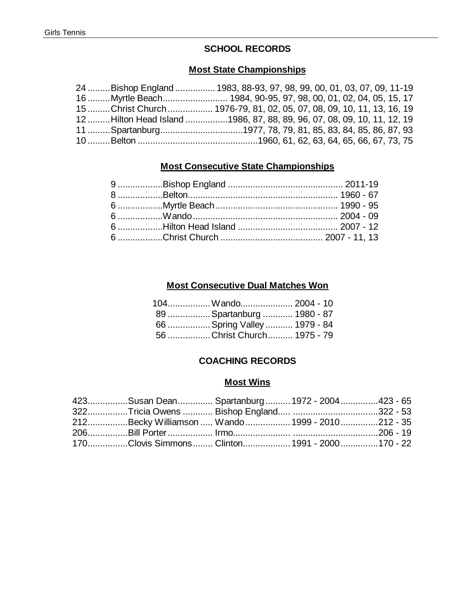## **SCHOOL RECORDS**

#### **Most State Championships**

| 24 Bishop England  1983, 88-93, 97, 98, 99, 00, 01, 03, 07, 09, 11-19  |  |  |  |  |
|------------------------------------------------------------------------|--|--|--|--|
|                                                                        |  |  |  |  |
| 15 Christ Church  1976-79, 81, 02, 05, 07, 08, 09, 10, 11, 13, 16, 19  |  |  |  |  |
| 12 Hilton Head Island 1986, 87, 88, 89, 96, 07, 08, 09, 10, 11, 12, 19 |  |  |  |  |
|                                                                        |  |  |  |  |
|                                                                        |  |  |  |  |

## **Most Consecutive State Championships**

## **Most Consecutive Dual Matches Won**

| 104Wando 2004 - 10           |  |
|------------------------------|--|
| 89  Spartanburg  1980 - 87   |  |
| 66  Spring Valley  1979 - 84 |  |
| 56 Christ Church 1975 - 79   |  |

## **COACHING RECORDS**

#### **Most Wins**

|  | 423Susan Dean Spartanburg 1972 - 2004423 - 65   |  |
|--|-------------------------------------------------|--|
|  |                                                 |  |
|  | 212Becky Williamson  Wando  1999 - 2010212 - 35 |  |
|  |                                                 |  |
|  | 170Clovis Simmons Clinton 1991 - 2000170 - 22   |  |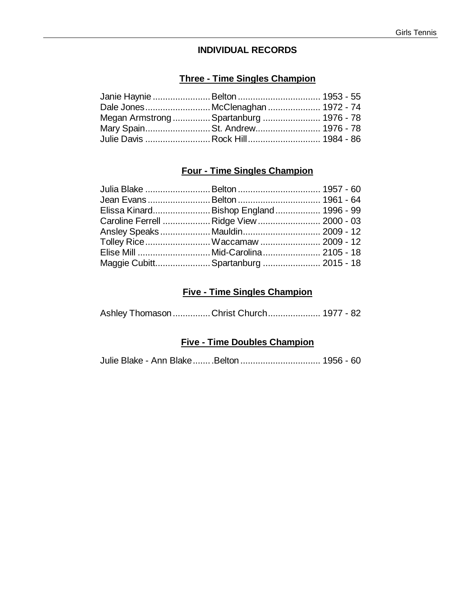#### **INDIVIDUAL RECORDS**

## **Three - Time Singles Champion**

| Dale Jones McClenaghan  1972 - 74       |  |
|-----------------------------------------|--|
| Megan Armstrong  Spartanburg  1976 - 78 |  |
| Mary SpainSt. Andrew 1976 - 78          |  |
| Julie Davis  Rock Hill 1984 - 86        |  |

## **Four - Time Singles Champion**

| Julia Blake  Belton  1957 - 60         |  |
|----------------------------------------|--|
|                                        |  |
| Elissa Kinard Bishop England 1996 - 99 |  |
| Caroline Ferrell Ridge View  2000 - 03 |  |
| Ansley SpeaksMauldin 2009 - 12         |  |
| Tolley Rice Waccamaw 2009 - 12         |  |
|                                        |  |
| Maggie Cubitt Spartanburg  2015 - 18   |  |
|                                        |  |

## **Five - Time Singles Champion**

Ashley Thomason...............Christ Church..................... 1977 - 82

## **Five - Time Doubles Champion**

Julie Blake - Ann Blake........Belton ................................ 1956 - 60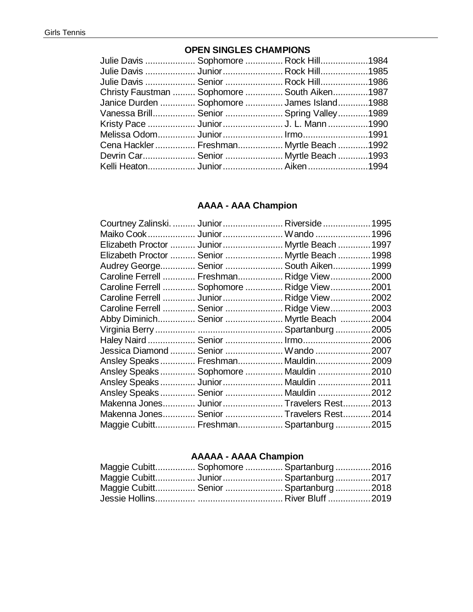## **OPEN SINGLES CHAMPIONS**

|  | Julie Davis  Sophomore  Rock Hill1984<br>Julie Davis  Junior  Rock Hill1985<br>Julie Davis  Senior  Rock Hill1986<br>Christy Faustman  Sophomore  South Aiken1987<br>Janice Durden  Sophomore  James Island1988<br>Vanessa Brill Senior  Spring Valley1989<br>Melissa Odom Junior Irmo1991<br>Cena Hackler  Freshman Myrtle Beach 1992<br>Devrin Car Senior  Myrtle Beach 1993<br>Kelli Heaton Junior Aiken1994 |
|--|-----------------------------------------------------------------------------------------------------------------------------------------------------------------------------------------------------------------------------------------------------------------------------------------------------------------------------------------------------------------------------------------------------------------|

## **AAAA - AAA Champion**

| Courtney Zalinski.  Junior  Riverside  1995   |  |  |
|-----------------------------------------------|--|--|
| Maiko Cook  Junior  Wando  1996               |  |  |
| Elizabeth Proctor  Junior  Myrtle Beach  1997 |  |  |
| Elizabeth Proctor  Senior  Myrtle Beach  1998 |  |  |
| Audrey George Senior  South Aiken 1999        |  |  |
| Caroline Ferrell  Freshman Ridge View 2000    |  |  |
| Caroline Ferrell  Sophomore  Ridge View 2001  |  |  |
| Caroline Ferrell  Junior  Ridge View  2002    |  |  |
| Caroline Ferrell  Senior  Ridge View  2003    |  |  |
| Abby Diminich Senior  Myrtle Beach 2004       |  |  |
|                                               |  |  |
| Haley Naird  Senior  Irmo2006                 |  |  |
| Jessica Diamond  Senior  Wando 2007           |  |  |
| Ansley Speaks Freshman Mauldin 2009           |  |  |
| Ansley Speaks Sophomore  Mauldin 2010         |  |  |
| Ansley Speaks Junior Mauldin 2011             |  |  |
| Ansley Speaks Senior  Mauldin 2012            |  |  |
| Makenna Jones Junior Travelers Rest 2013      |  |  |
| Makenna Jones Senior  Travelers Rest 2014     |  |  |
| Maggie Cubitt Freshman Spartanburg2015        |  |  |

## **AAAAA - AAAA Champion**

|  | Maggie Cubitt Sophomore  Spartanburg  2016 |  |
|--|--------------------------------------------|--|
|  | Maggie Cubitt Junior Spartanburg2017       |  |
|  | Maggie Cubitt Senior  Spartanburg 2018     |  |
|  |                                            |  |